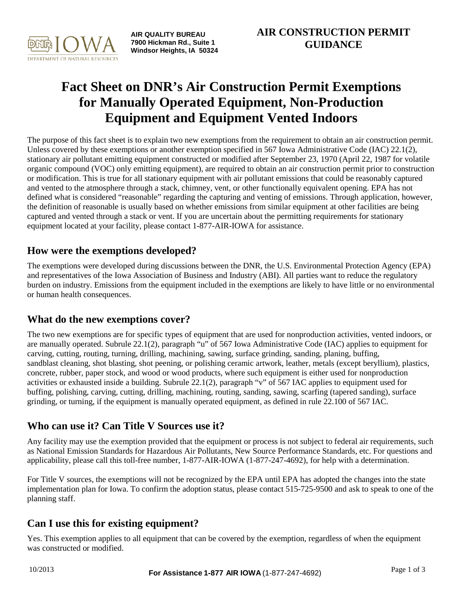

**AIR QUALITY BUREAU 7900 Hickman Rd., Suite 1 Windsor Heights, IA 50324**

# **Fact Sheet on DNR's Air Construction Permit Exemptions for Manually Operated Equipment, Non-Production Equipment and Equipment Vented Indoors**

The purpose of this fact sheet is to explain two new exemptions from the requirement to obtain an air construction permit. Unless covered by these exemptions or another exemption specified in 567 Iowa Administrative Code (IAC) 22.1(2), stationary air pollutant emitting equipment constructed or modified after September 23, 1970 (April 22, 1987 for volatile organic compound (VOC) only emitting equipment), are required to obtain an air construction permit prior to construction or modification. This is true for all stationary equipment with air pollutant emissions that could be reasonably captured and vented to the atmosphere through a stack, chimney, vent, or other functionally equivalent opening. EPA has not defined what is considered "reasonable" regarding the capturing and venting of emissions. Through application, however, the definition of reasonable is usually based on whether emissions from similar equipment at other facilities are being captured and vented through a stack or vent. If you are uncertain about the permitting requirements for stationary equipment located at your facility, please contact 1-877-AIR-IOWA for assistance.

# **How were the exemptions developed?**

The exemptions were developed during discussions between the DNR, the U.S. Environmental Protection Agency (EPA) and representatives of the Iowa Association of Business and Industry (ABI). All parties want to reduce the regulatory burden on industry. Emissions from the equipment included in the exemptions are likely to have little or no environmental or human health consequences.

#### **What do the new exemptions cover?**

The two new exemptions are for specific types of equipment that are used for nonproduction activities, vented indoors, or are manually operated. Subrule 22.1(2), paragraph "u" of 567 Iowa Administrative Code (IAC) applies to equipment for carving, cutting, routing, turning, drilling, machining, sawing, surface grinding, sanding, planing, buffing, sandblast cleaning, shot blasting, shot peening, or polishing ceramic artwork, leather, metals (except beryllium), plastics, concrete, rubber, paper stock, and wood or wood products, where such equipment is either used for nonproduction activities or exhausted inside a building. Subrule 22.1(2), paragraph "v" of 567 IAC applies to equipment used for buffing, polishing, carving, cutting, drilling, machining, routing, sanding, sawing, scarfing (tapered sanding), surface grinding, or turning, if the equipment is manually operated equipment, as defined in rule 22.100 of 567 IAC.

# **Who can use it? Can Title V Sources use it?**

Any facility may use the exemption provided that the equipment or process is not subject to federal air requirements, such as National Emission Standards for Hazardous Air Pollutants, New Source Performance Standards, etc. For questions and applicability, please call this toll-free number, 1-877-AIR-IOWA (1-877-247-4692), for help with a determination.

For Title V sources, the exemptions will not be recognized by the EPA until EPA has adopted the changes into the state implementation plan for Iowa. To confirm the adoption status, please contact 515-725-9500 and ask to speak to one of the planning staff.

# **Can I use this for existing equipment?**

Yes. This exemption applies to all equipment that can be covered by the exemption, regardless of when the equipment was constructed or modified.